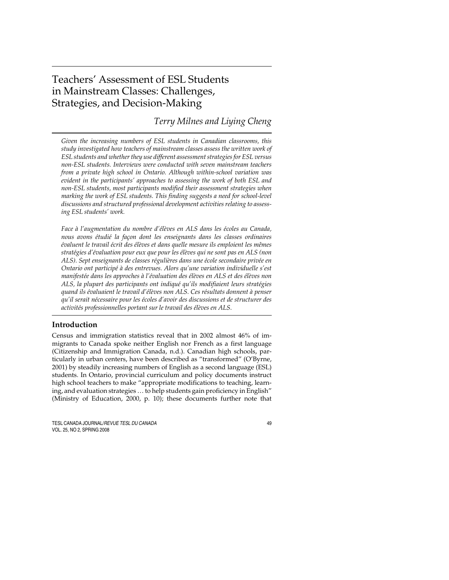# Teachers' Assessment of ESL Students in Mainstream Classes: Challenges, Strategies, and Decision-Making

## *Terry Milnes and Liying Cheng*

*Given the increasing numbers of ESL students in Canadian classrooms, this study investigated how teachers of mainstream classes assess the written work of ESL students and whether they use different assessment strategies for ESL versus non-ESL students. Interviews were conducted with seven mainstream teachers from a private high school in Ontario. Although within-school variation was evident in the participants' approaches to assessing the work of both ESL and non-ESL students, most participants modified their assessment strategies when marking the work of ESL students. This finding suggests a need for school-level discussions and structured professional development activities relating to assessing ESL students' work.*

*Face à l'augmentation du nombre d'élèves en ALS dans les écoles au Canada, nous avons étudié la façon dont les enseignants dans les classes ordinaires évaluent le travail écrit des élèves et dans quelle mesure ils emploient les mêmes stratégies d'évaluation pour eux que pour les élèves qui ne sont pas en ALS (non ALS). Sept enseignants de classes régulières dans une école secondaire privée en Ontario ont participé à des entrevues. Alors qu'une variation individuelle s'est manifestée dans les approches à l'évaluation des élèves en ALS et des élèves non ALS, la plupart des participants ont indiqué qu'ils modifiaient leurs stratégies quand ils évaluaient le travail d'élèves non ALS. Ces résultats donnent à penser qu'il serait nécessaire pour les écoles d'avoir des discussions et de structurer des activités professionnelles portant sur le travail des élèves en ALS.*

### **Introduction**

Census and immigration statistics reveal that in 2002 almost 46% of immigrants to Canada spoke neither English nor French as a first language (Citizenship and Immigration Canada, n.d.). Canadian high schools, particularly in urban centers, have been described as "transformed" (O'Byrne, 2001) by steadily increasing numbers of English as a second language (ESL) students. In Ontario, provincial curriculum and policy documents instruct high school teachers to make "appropriate modifications to teaching, learning, and evaluation strategies … to help students gain proficiency in English" (Ministry of Education, 2000, p. 10); these documents further note that

TESL CANADA JOURNAL/REVUE TESL DU CANADA 49 VOL. 25, NO 2, SPRING 2008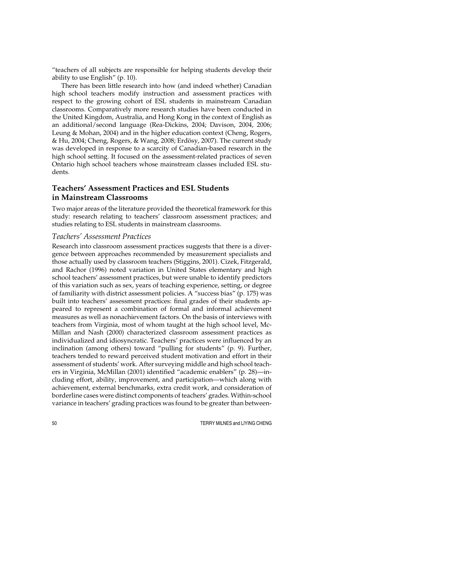"teachers of all subjects are responsible for helping students develop their ability to use English" (p. 10).

There has been little research into how (and indeed whether) Canadian high school teachers modify instruction and assessment practices with respect to the growing cohort of ESL students in mainstream Canadian classrooms. Comparatively more research studies have been conducted in the United Kingdom, Australia, and Hong Kong in the context of English as an additional/second language (Rea-Dickins, 2004; Davison, 2004, 2006; Leung & Mohan, 2004) and in the higher education context (Cheng, Rogers, & Hu, 2004; Cheng, Rogers, & Wang, 2008; Erdösy, 2007). The current study was developed in response to a scarcity of Canadian-based research in the high school setting. It focused on the assessment-related practices of seven Ontario high school teachers whose mainstream classes included ESL students.

### **Teachers' Assessment Practices and ESL Students in Mainstream Classrooms**

Two major areas of the literature provided the theoretical framework for this study: research relating to teachers' classroom assessment practices; and studies relating to ESL students in mainstream classrooms.

### *Teachers' Assessment Practices*

Research into classroom assessment practices suggests that there is a divergence between approaches recommended by measurement specialists and those actually used by classroom teachers (Stiggins, 2001). Cizek, Fitzgerald, and Rachor (1996) noted variation in United States elementary and high school teachers' assessment practices, but were unable to identify predictors of this variation such as sex, years of teaching experience, setting, or degree of familiarity with district assessment policies. A "success bias" (p. 175) was built into teachers' assessment practices: final grades of their students appeared to represent a combination of formal and informal achievement measures as well as nonachievement factors. On the basis of interviews with teachers from Virginia, most of whom taught at the high school level, Mc-Millan and Nash (2000) characterized classroom assessment practices as individualized and idiosyncratic. Teachers' practices were influenced by an inclination (among others) toward "pulling for students" (p. 9). Further, teachers tended to reward perceived student motivation and effort in their assessment of students' work. After surveying middle and high school teachers in Virginia, McMillan (2001) identified "academic enablers" (p. 28)—including effort, ability, improvement, and participation—which along with achievement, external benchmarks, extra credit work, and consideration of borderline cases were distinct components of teachers' grades. Within-school variance in teachers' grading practices was found to be greater than between-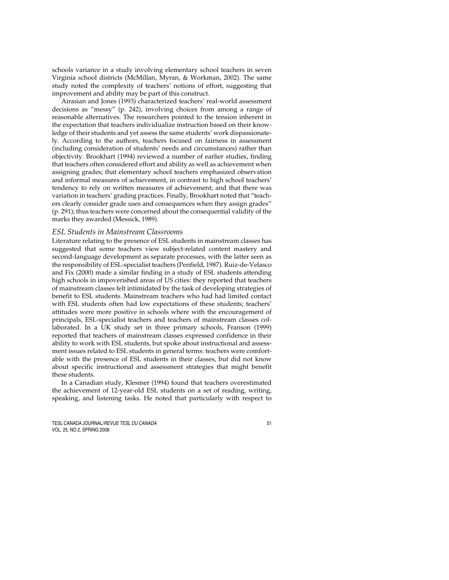schools variance in a study involving elementary school teachers in seven Virginia school districts (McMillan, Myran, & Workman, 2002). The same study noted the complexity of teachers' notions of effort, suggesting that improvement and ability may be part of this construct.

Airasian and Jones (1993) characterized teachers' real-world assessment decisions as "messy" (p. 242), involving choices from among a range of reasonable alternatives. The researchers pointed to the tension inherent in the expectation that teachers individualize instruction based on their knowledge of their students and yet assess the same students' work dispassionately. According to the authors, teachers focused on fairness in assessment (including consideration of students' needs and circumstances) rather than objectivity. Brookhart (1994) reviewed a number of earlier studies, finding that teachers often considered effort and ability as well as achievement when assigning grades; that elementary school teachers emphasized observation and informal measures of achievement, in contrast to high school teachers' tendency to rely on written measures of achievement; and that there was variation in teachers' grading practices. Finally, Brookhart noted that "teachers clearly consider grade uses and consequences when they assign grades" (p. 291); thus teachers were concerned about the consequential validity of the marks they awarded (Messick, 1989).

#### *ESL Students in Mainstream Classrooms*

Literature relating to the presence of ESL students in mainstream classes has suggested that some teachers view subject-related content mastery and second-language development as separate processes, with the latter seen as the responsibility of ESL-specialist teachers (Penfield, 1987). Ruiz-de-Velasco and Fix (2000) made a similar finding in a study of ESL students attending high schools in impoverished areas of US cities: they reported that teachers of mainstream classes felt intimidated by the task of developing strategies of benefit to ESL students. Mainstream teachers who had had limited contact with ESL students often had low expectations of these students; teachers' attitudes were more positive in schools where with the encouragement of principals, ESL-specialist teachers and teachers of mainstream classes collaborated. In a UK study set in three primary schools, Franson (1999) reported that teachers of mainstream classes expressed confidence in their ability to work with ESL students, but spoke about instructional and assessment issues related to ESL students in general terms: teachers were comfortable with the presence of ESL students in their classes, but did not know about specific instructional and assessment strategies that might benefit these students.

In a Canadian study, Klesmer (1994) found that teachers overestimated the achievement of 12-year-old ESL students on a set of reading, writing, speaking, and listening tasks. He noted that particularly with respect to

TESL CANADA JOURNAL/REVUE TESL DU CANADA 51 VOL. 25, NO 2, SPRING 2008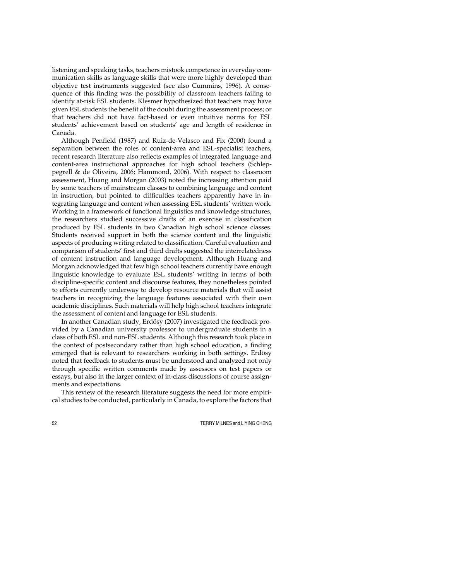listening and speaking tasks, teachers mistook competence in everyday communication skills as language skills that were more highly developed than objective test instruments suggested (see also Cummins, 1996). A consequence of this finding was the possibility of classroom teachers failing to identify at-risk ESL students. Klesmer hypothesized that teachers may have given ESL students the benefit of the doubt during the assessment process; or that teachers did not have fact-based or even intuitive norms for ESL students' achievement based on students' age and length of residence in Canada.

Although Penfield (1987) and Ruiz-de-Velasco and Fix (2000) found a separation between the roles of content-area and ESL-specialist teachers, recent research literature also reflects examples of integrated language and content-area instructional approaches for high school teachers (Schleppegrell & de Oliveira, 2006; Hammond, 2006). With respect to classroom assessment, Huang and Morgan (2003) noted the increasing attention paid by some teachers of mainstream classes to combining language and content in instruction, but pointed to difficulties teachers apparently have in integrating language and content when assessing ESL students' written work. Working in a framework of functional linguistics and knowledge structures, the researchers studied successive drafts of an exercise in classification produced by ESL students in two Canadian high school science classes. Students received support in both the science content and the linguistic aspects of producing writing related to classification. Careful evaluation and comparison of students' first and third drafts suggested the interrelatedness of content instruction and language development. Although Huang and Morgan acknowledged that few high school teachers currently have enough linguistic knowledge to evaluate ESL students' writing in terms of both discipline-specific content and discourse features, they nonetheless pointed to efforts currently underway to develop resource materials that will assist teachers in recognizing the language features associated with their own academic disciplines. Such materials will help high school teachers integrate the assessment of content and language for ESL students.

In another Canadian study, Erdösy (2007) investigated the feedback provided by a Canadian university professor to undergraduate students in a class of both ESL and non-ESL students. Although this research took place in the context of postsecondary rather than high school education, a finding emerged that is relevant to researchers working in both settings. Erdösy noted that feedback to students must be understood and analyzed not only through specific written comments made by assessors on test papers or essays, but also in the larger context of in-class discussions of course assignments and expectations.

This review of the research literature suggests the need for more empirical studies to be conducted, particularly in Canada, to explore the factors that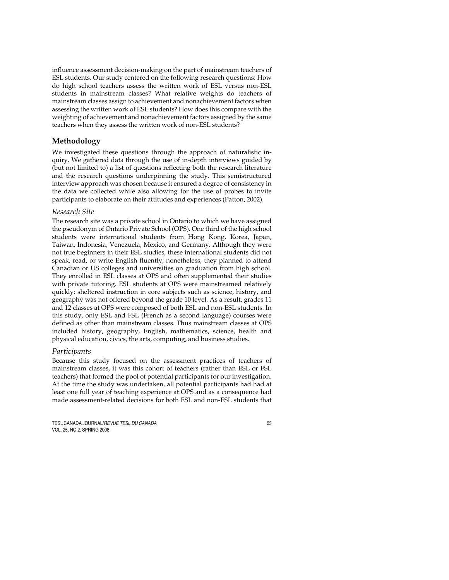influence assessment decision-making on the part of mainstream teachers of ESL students. Our study centered on the following research questions: How do high school teachers assess the written work of ESL versus non-ESL students in mainstream classes? What relative weights do teachers of mainstream classes assign to achievement and nonachievement factors when assessing the written work of ESL students? How does this compare with the weighting of achievement and nonachievement factors assigned by the same teachers when they assess the written work of non-ESL students?

### **Methodology**

We investigated these questions through the approach of naturalistic inquiry. We gathered data through the use of in-depth interviews guided by (but not limited to) a list of questions reflecting both the research literature and the research questions underpinning the study. This semistructured interview approach was chosen because it ensured a degree of consistency in the data we collected while also allowing for the use of probes to invite participants to elaborate on their attitudes and experiences (Patton, 2002).

### *Research Site*

The research site was a private school in Ontario to which we have assigned the pseudonym of Ontario Private School (OPS). One third of the high school students were international students from Hong Kong, Korea, Japan, Taiwan, Indonesia, Venezuela, Mexico, and Germany. Although they were not true beginners in their ESL studies, these international students did not speak, read, or write English fluently; nonetheless, they planned to attend Canadian or US colleges and universities on graduation from high school. They enrolled in ESL classes at OPS and often supplemented their studies with private tutoring. ESL students at OPS were mainstreamed relatively quickly: sheltered instruction in core subjects such as science, history, and geography was not offered beyond the grade 10 level. As a result, grades 11 and 12 classes at OPS were composed of both ESL and non-ESL students. In this study, only ESL and FSL (French as a second language) courses were defined as other than mainstream classes. Thus mainstream classes at OPS included history, geography, English, mathematics, science, health and physical education, civics, the arts, computing, and business studies.

#### *Participants*

Because this study focused on the assessment practices of teachers of mainstream classes, it was this cohort of teachers (rather than ESL or FSL teachers) that formed the pool of potential participants for our investigation. At the time the study was undertaken, all potential participants had had at least one full year of teaching experience at OPS and as a consequence had made assessment-related decisions for both ESL and non-ESL students that

TESL CANADA JOURNAL/REVUE TESL DU CANADA 53 VOL. 25, NO 2, SPRING 2008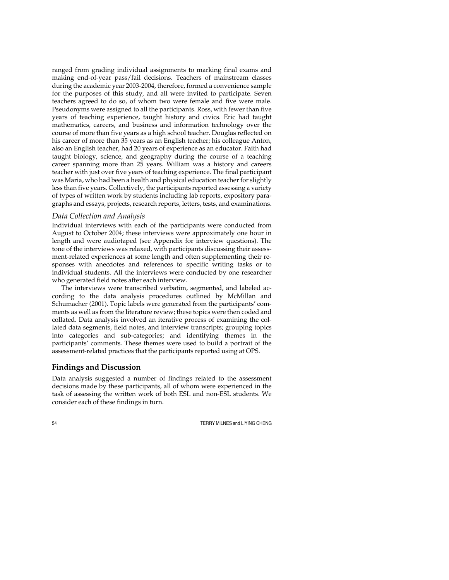ranged from grading individual assignments to marking final exams and making end-of-year pass/fail decisions. Teachers of mainstream classes during the academic year 2003-2004, therefore, formed a convenience sample for the purposes of this study, and all were invited to participate. Seven teachers agreed to do so, of whom two were female and five were male. Pseudonyms were assigned to all the participants. Ross, with fewer than five years of teaching experience, taught history and civics. Eric had taught mathematics, careers, and business and information technology over the course of more than five years as a high school teacher. Douglas reflected on his career of more than 35 years as an English teacher; his colleague Anton, also an English teacher, had 20 years of experience as an educator. Faith had taught biology, science, and geography during the course of a teaching career spanning more than 25 years. William was a history and careers teacher with just over five years of teaching experience. The final participant was Maria, who had been a health and physical education teacher for slightly less than five years. Collectively, the participants reported assessing a variety of types of written work by students including lab reports, expository paragraphs and essays, projects, research reports, letters, tests, and examinations.

#### *Data Collection and Analysis*

Individual interviews with each of the participants were conducted from August to October 2004; these interviews were approximately one hour in length and were audiotaped (see Appendix for interview questions). The tone of the interviews was relaxed, with participants discussing their assessment-related experiences at some length and often supplementing their responses with anecdotes and references to specific writing tasks or to individual students. All the interviews were conducted by one researcher who generated field notes after each interview.

The interviews were transcribed verbatim, segmented, and labeled according to the data analysis procedures outlined by McMillan and Schumacher (2001). Topic labels were generated from the participants' comments as well as from the literature review; these topics were then coded and collated. Data analysis involved an iterative process of examining the collated data segments, field notes, and interview transcripts; grouping topics into categories and sub-categories; and identifying themes in the participants' comments. These themes were used to build a portrait of the assessment-related practices that the participants reported using at OPS.

### **Findings and Discussion**

Data analysis suggested a number of findings related to the assessment decisions made by these participants, all of whom were experienced in the task of assessing the written work of both ESL and non-ESL students. We consider each of these findings in turn.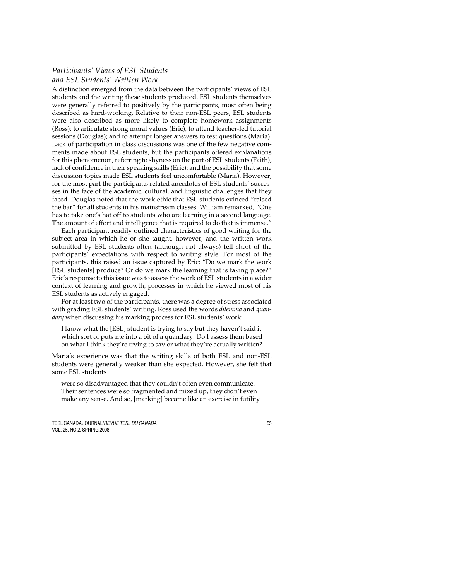### *Participants' Views of ESL Students and ESL Students' Written Work*

A distinction emerged from the data between the participants' views of ESL students and the writing these students produced. ESL students themselves were generally referred to positively by the participants, most often being described as hard-working. Relative to their non-ESL peers, ESL students were also described as more likely to complete homework assignments (Ross); to articulate strong moral values (Eric); to attend teacher-led tutorial sessions (Douglas); and to attempt longer answers to test questions (Maria). Lack of participation in class discussions was one of the few negative comments made about ESL students, but the participants offered explanations for this phenomenon, referring to shyness on the part of ESL students (Faith); lack of confidence in their speaking skills (Eric); and the possibility that some discussion topics made ESL students feel uncomfortable (Maria). However, for the most part the participants related anecdotes of ESL students' successes in the face of the academic, cultural, and linguistic challenges that they faced. Douglas noted that the work ethic that ESL students evinced "raised the bar" for all students in his mainstream classes. William remarked, "One has to take one's hat off to students who are learning in a second language. The amount of effort and intelligence that is required to do that is immense."

Each participant readily outlined characteristics of good writing for the subject area in which he or she taught, however, and the written work submitted by ESL students often (although not always) fell short of the participants' expectations with respect to writing style. For most of the participants, this raised an issue captured by Eric: "Do we mark the work [ESL students] produce? Or do we mark the learning that is taking place?" Eric's response to this issue was to assess the work of ESL students in a wider context of learning and growth, processes in which he viewed most of his ESL students as actively engaged.

For at least two of the participants, there was a degree of stress associated with grading ESL students' writing. Ross used the words *dilemma* and *quandary* when discussing his marking process for ESL students' work:

I know what the [ESL] student is trying to say but they haven't said it which sort of puts me into a bit of a quandary. Do I assess them based on what I think they're trying to say or what they've actually written?

Maria's experience was that the writing skills of both ESL and non-ESL students were generally weaker than she expected. However, she felt that some ESL students

were so disadvantaged that they couldn't often even communicate. Their sentences were so fragmented and mixed up, they didn't even make any sense. And so, [marking] became like an exercise in futility

TESL CANADA JOURNAL/REVUE TESL DU CANADA 55 VOL. 25, NO 2, SPRING 2008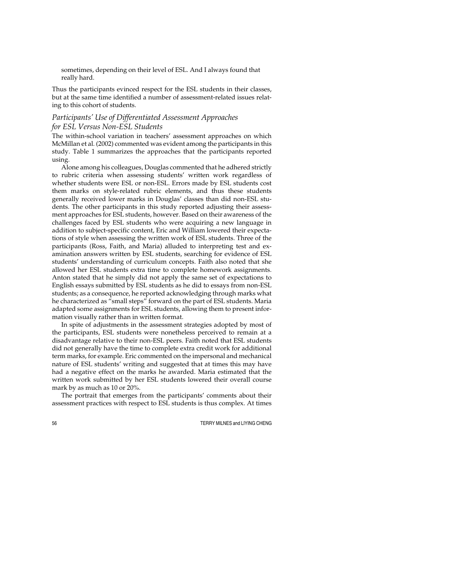sometimes, depending on their level of ESL. And I always found that really hard.

Thus the participants evinced respect for the ESL students in their classes, but at the same time identified a number of assessment-related issues relating to this cohort of students.

### *Participants' Use of Differentiated Assessment Approaches for ESL Versus Non-ESL Students*

The within-school variation in teachers' assessment approaches on which McMillan et al. (2002) commented was evident among the participants in this study. Table 1 summarizes the approaches that the participants reported using.

Alone among his colleagues, Douglas commented that he adhered strictly to rubric criteria when assessing students' written work regardless of whether students were ESL or non-ESL. Errors made by ESL students cost them marks on style-related rubric elements, and thus these students generally received lower marks in Douglas' classes than did non-ESL students. The other participants in this study reported adjusting their assessment approaches for ESL students, however. Based on their awareness of the challenges faced by ESL students who were acquiring a new language in addition to subject-specific content, Eric and William lowered their expectations of style when assessing the written work of ESL students. Three of the participants (Ross, Faith, and Maria) alluded to interpreting test and examination answers written by ESL students, searching for evidence of ESL students' understanding of curriculum concepts. Faith also noted that she allowed her ESL students extra time to complete homework assignments. Anton stated that he simply did not apply the same set of expectations to English essays submitted by ESL students as he did to essays from non-ESL students; as a consequence, he reported acknowledging through marks what he characterized as "small steps" forward on the part of ESL students. Maria adapted some assignments for ESL students, allowing them to present information visually rather than in written format.

In spite of adjustments in the assessment strategies adopted by most of the participants, ESL students were nonetheless perceived to remain at a disadvantage relative to their non-ESL peers. Faith noted that ESL students did not generally have the time to complete extra credit work for additional term marks, for example. Eric commented on the impersonal and mechanical nature of ESL students' writing and suggested that at times this may have had a negative effect on the marks he awarded. Maria estimated that the written work submitted by her ESL students lowered their overall course mark by as much as 10 or 20%.

The portrait that emerges from the participants' comments about their assessment practices with respect to ESL students is thus complex. At times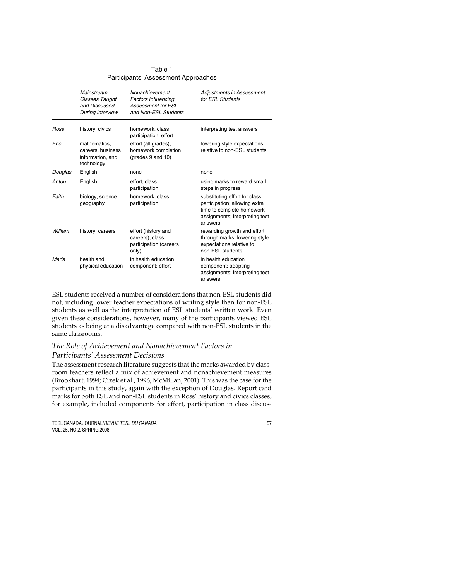|             | Mainstream<br><b>Classes Taught</b><br>and Discussed<br>During Interview | Nonachievement<br><b>Factors Influencing</b><br>Assessment for FSI<br>and Non-ESL Students | Adjustments in Assessment<br>for ESL Students                                                                                            |
|-------------|--------------------------------------------------------------------------|--------------------------------------------------------------------------------------------|------------------------------------------------------------------------------------------------------------------------------------------|
| <b>Ross</b> | history, civics                                                          | homework, class<br>participation, effort                                                   | interpreting test answers                                                                                                                |
| Eric        | mathematics,<br>careers, business<br>information, and<br>technology      | effort (all grades),<br>homework completion<br>(grades 9 and 10)                           | lowering style expectations<br>relative to non-ESL students                                                                              |
| Douglas     | English                                                                  | none                                                                                       | none                                                                                                                                     |
| Anton       | English                                                                  | effort, class<br>participation                                                             | using marks to reward small<br>steps in progress                                                                                         |
| Faith       | biology, science,<br>geography                                           | homework, class<br>participation                                                           | substituting effort for class<br>participation; allowing extra<br>time to complete homework<br>assignments; interpreting test<br>answers |
| William     | history, careers                                                         | effort (history and<br>careers), class<br>participation (careers<br>only)                  | rewarding growth and effort<br>through marks; lowering style<br>expectations relative to<br>non-ESL students                             |
| Maria       | health and<br>physical education                                         | in health education<br>component: effort                                                   | in health education<br>component: adapting<br>assignments; interpreting test<br>answers                                                  |

Table 1 Participants' Assessment Approaches

ESL students received a number of considerations that non-ESL students did not, including lower teacher expectations of writing style than for non-ESL students as well as the interpretation of ESL students' written work. Even given these considerations, however, many of the participants viewed ESL students as being at a disadvantage compared with non-ESL students in the same classrooms.

### *The Role of Achievement and Nonachievement Factors in Participants' Assessment Decisions*

The assessment research literature suggests that the marks awarded by classroom teachers reflect a mix of achievement and nonachievement measures (Brookhart, 1994; Cizek et al., 1996; McMillan, 2001). This was the case for the participants in this study, again with the exception of Douglas. Report card marks for both ESL and non-ESL students in Ross' history and civics classes, for example, included components for effort, participation in class discus-

TESL CANADA JOURNAL/REVUE TESL DU CANADA 57 VOL. 25, NO 2, SPRING 2008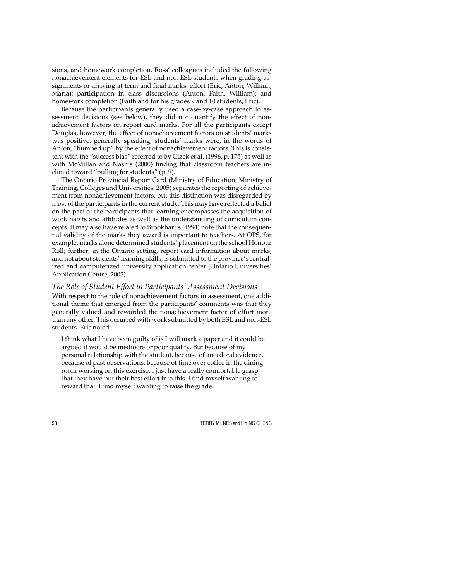sions, and homework completion. Ross' colleagues included the following nonachievement elements for ESL and non-ESL students when grading assignments or arriving at term and final marks: effort (Eric, Anton, William, Maria); participation in class discussions (Anton, Faith, William); and homework completion (Faith and for his grades 9 and 10 students, Eric).

Because the participants generally used a case-by-case approach to assessment decisions (see below), they did not quantify the effect of nonachievement factors on report card marks. For all the participants except Douglas, however, the effect of nonachievement factors on students' marks was positive: generally speaking, students' marks were, in the words of Anton, "bumped up" by the effect of nonachievement factors. This is consistent with the "success bias" referred to by Cizek et al. (1996, p. 175) as well as with McMillan and Nash's (2000) finding that classroom teachers are inclined toward "pulling for students" (p. 9).

The Ontario Provincial Report Card (Ministry of Education, Ministry of Training, Colleges and Universities, 2005) separates the reporting of achievement from nonachievement factors, but this distinction was disregarded by most of the participants in the current study. This may have reflected a belief on the part of the participants that learning encompasses the acquisition of work habits and attitudes as well as the understanding of curriculum concepts. It may also have related to Brookhart's (1994) note that the consequential validity of the marks they award is important to teachers. At OPS, for example, marks alone determined students' placement on the school Honour Roll; further, in the Ontario setting, report card information about marks, and not about students' learning skills, is submitted to the province's centralized and computerized university application center (Ontario Universities' Application Centre, 2005).

### *The Role of Student Effort in Participants' Assessment Decisions*

With respect to the role of nonachievement factors in assessment, one additional theme that emerged from the participants' comments was that they generally valued and rewarded the nonachievement factor of effort more than any other. This occurred with work submitted by both ESL and non-ESL students. Eric noted:

I think what I have been guilty of is I will mark a paper and it could be argued it would be mediocre or poor quality. But because of my personal relationship with the student, because of anecdotal evidence, because of past observations, because of time over coffee in the dining room working on this exercise, I just have a really comfortable grasp that they have put their best effort into this. I find myself wanting to reward that. I find myself wanting to raise the grade.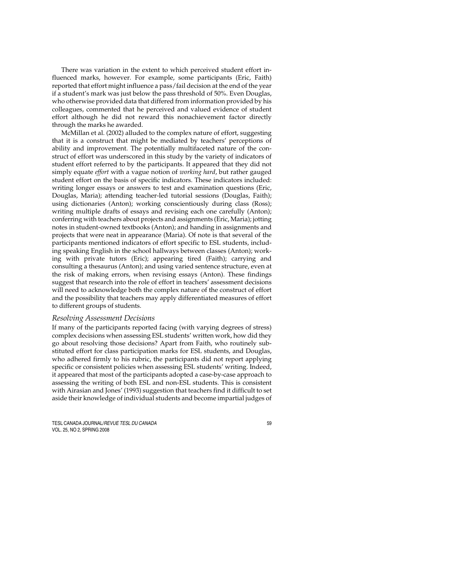There was variation in the extent to which perceived student effort influenced marks, however. For example, some participants (Eric, Faith) reported that effort might influence a pass/fail decision at the end of the year if a student's mark was just below the pass threshold of 50%. Even Douglas, who otherwise provided data that differed from information provided by his colleagues, commented that he perceived and valued evidence of student effort although he did not reward this nonachievement factor directly through the marks he awarded.

McMillan et al. (2002) alluded to the complex nature of effort, suggesting that it is a construct that might be mediated by teachers' perceptions of ability and improvement. The potentially multifaceted nature of the construct of effort was underscored in this study by the variety of indicators of student effort referred to by the participants. It appeared that they did not simply equate *effort* with a vague notion of *working hard*, but rather gauged student effort on the basis of specific indicators. These indicators included: writing longer essays or answers to test and examination questions (Eric, Douglas, Maria); attending teacher-led tutorial sessions (Douglas, Faith); using dictionaries (Anton); working conscientiously during class (Ross); writing multiple drafts of essays and revising each one carefully (Anton); conferring with teachers about projects and assignments (Eric, Maria); jotting notes in student-owned textbooks (Anton); and handing in assignments and projects that were neat in appearance (Maria). Of note is that several of the participants mentioned indicators of effort specific to ESL students, including speaking English in the school hallways between classes (Anton); working with private tutors (Eric); appearing tired (Faith); carrying and consulting a thesaurus (Anton); and using varied sentence structure, even at the risk of making errors, when revising essays (Anton). These findings suggest that research into the role of effort in teachers' assessment decisions will need to acknowledge both the complex nature of the construct of effort and the possibility that teachers may apply differentiated measures of effort to different groups of students.

#### *Resolving Assessment Decisions*

If many of the participants reported facing (with varying degrees of stress) complex decisions when assessing ESL students' written work, how did they go about resolving those decisions? Apart from Faith, who routinely substituted effort for class participation marks for ESL students, and Douglas, who adhered firmly to his rubric, the participants did not report applying specific or consistent policies when assessing ESL students' writing. Indeed, it appeared that most of the participants adopted a case-by-case approach to assessing the writing of both ESL and non-ESL students. This is consistent with Airasian and Jones' (1993) suggestion that teachers find it difficult to set aside their knowledge of individual students and become impartial judges of

TESL CANADA JOURNAL/REVUE TESL DU CANADA 59 VOL. 25, NO 2, SPRING 2008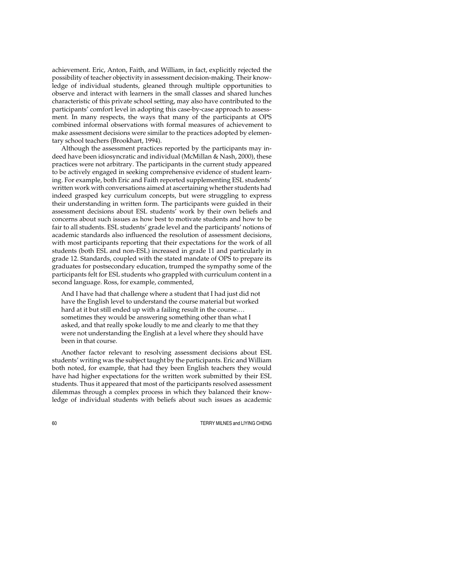achievement. Eric, Anton, Faith, and William, in fact, explicitly rejected the possibility of teacher objectivity in assessment decision-making. Their knowledge of individual students, gleaned through multiple opportunities to observe and interact with learners in the small classes and shared lunches characteristic of this private school setting, may also have contributed to the participants' comfort level in adopting this case-by-case approach to assessment. In many respects, the ways that many of the participants at OPS combined informal observations with formal measures of achievement to make assessment decisions were similar to the practices adopted by elementary school teachers (Brookhart, 1994).

Although the assessment practices reported by the participants may indeed have been idiosyncratic and individual (McMillan & Nash, 2000), these practices were not arbitrary. The participants in the current study appeared to be actively engaged in seeking comprehensive evidence of student learning. For example, both Eric and Faith reported supplementing ESL students' written work with conversations aimed at ascertaining whether students had indeed grasped key curriculum concepts, but were struggling to express their understanding in written form. The participants were guided in their assessment decisions about ESL students' work by their own beliefs and concerns about such issues as how best to motivate students and how to be fair to all students. ESL students' grade level and the participants' notions of academic standards also influenced the resolution of assessment decisions, with most participants reporting that their expectations for the work of all students (both ESL and non-ESL) increased in grade 11 and particularly in grade 12. Standards, coupled with the stated mandate of OPS to prepare its graduates for postsecondary education, trumped the sympathy some of the participants felt for ESL students who grappled with curriculum content in a second language. Ross, for example, commented,

And I have had that challenge where a student that I had just did not have the English level to understand the course material but worked hard at it but still ended up with a failing result in the course.… sometimes they would be answering something other than what I asked, and that really spoke loudly to me and clearly to me that they were not understanding the English at a level where they should have been in that course.

Another factor relevant to resolving assessment decisions about ESL students' writing was the subject taught by the participants. Eric and William both noted, for example, that had they been English teachers they would have had higher expectations for the written work submitted by their ESL students. Thus it appeared that most of the participants resolved assessment dilemmas through a complex process in which they balanced their knowledge of individual students with beliefs about such issues as academic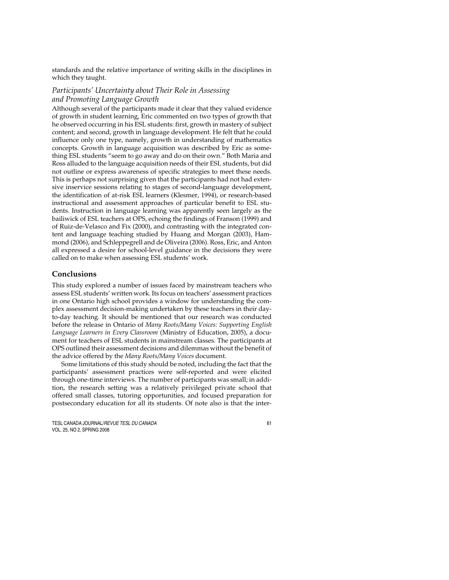standards and the relative importance of writing skills in the disciplines in which they taught.

### *Participants' Uncertainty about Their Role in Assessing and Promoting Language Growth*

Although several of the participants made it clear that they valued evidence of growth in student learning, Eric commented on two types of growth that he observed occurring in his ESL students: first, growth in mastery of subject content; and second, growth in language development. He felt that he could influence only one type, namely, growth in understanding of mathematics concepts. Growth in language acquisition was described by Eric as something ESL students "seem to go away and do on their own." Both Maria and Ross alluded to the language acquisition needs of their ESL students, but did not outline or express awareness of specific strategies to meet these needs. This is perhaps not surprising given that the participants had not had extensive inservice sessions relating to stages of second-language development, the identification of at-risk ESL learners (Klesmer, 1994), or research-based instructional and assessment approaches of particular benefit to ESL students. Instruction in language learning was apparently seen largely as the bailiwick of ESL teachers at OPS, echoing the findings of Franson (1999) and of Ruiz-de-Velasco and Fix (2000), and contrasting with the integrated content and language teaching studied by Huang and Morgan (2003), Hammond (2006), and Schleppegrell and de Oliveira (2006). Ross, Eric, and Anton all expressed a desire for school-level guidance in the decisions they were called on to make when assessing ESL students' work.

### **Conclusions**

This study explored a number of issues faced by mainstream teachers who assess ESL students' written work. Its focus on teachers' assessment practices in one Ontario high school provides a window for understanding the complex assessment decision-making undertaken by these teachers in their dayto-day teaching. It should be mentioned that our research was conducted before the release in Ontario of *Many Roots/Many Voices: Supporting English Language Learners in Every Classroom* (Ministry of Education, 2005), a document for teachers of ESL students in mainstream classes. The participants at OPS outlined their assessment decisions and dilemmas without the benefit of the advice offered by the *Many Roots/Many Voices* document.

Some limitations of this study should be noted, including the fact that the participants' assessment practices were self-reported and were elicited through one-time interviews. The number of participants was small; in addition, the research setting was a relatively privileged private school that offered small classes, tutoring opportunities, and focused preparation for postsecondary education for all its students. Of note also is that the inter-

TESL CANADA JOURNAL/REVUE TESL DU CANADA 61 VOL. 25, NO 2, SPRING 2008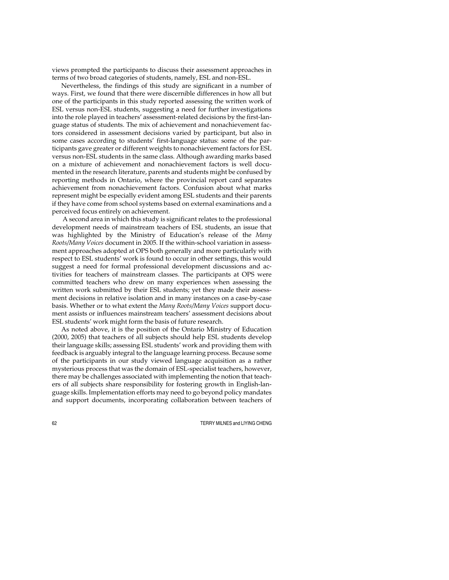views prompted the participants to discuss their assessment approaches in terms of two broad categories of students, namely, ESL and non-ESL.

Nevertheless, the findings of this study are significant in a number of ways. First, we found that there were discernible differences in how all but one of the participants in this study reported assessing the written work of ESL versus non-ESL students, suggesting a need for further investigations into the role played in teachers' assessment-related decisions by the first-language status of students. The mix of achievement and nonachievement factors considered in assessment decisions varied by participant, but also in some cases according to students' first-language status: some of the participants gave greater or different weights to nonachievement factors for ESL versus non-ESL students in the same class. Although awarding marks based on a mixture of achievement and nonachievement factors is well documented in the research literature, parents and students might be confused by reporting methods in Ontario, where the provincial report card separates achievement from nonachievement factors. Confusion about what marks represent might be especially evident among ESL students and their parents if they have come from school systems based on external examinations and a perceived focus entirely on achievement.

 A second area in which this study is significant relates to the professional development needs of mainstream teachers of ESL students, an issue that was highlighted by the Ministry of Education's release of the *Many Roots/Many Voices* document in 2005. If the within-school variation in assessment approaches adopted at OPS both generally and more particularly with respect to ESL students' work is found to occur in other settings, this would suggest a need for formal professional development discussions and activities for teachers of mainstream classes. The participants at OPS were committed teachers who drew on many experiences when assessing the written work submitted by their ESL students; yet they made their assessment decisions in relative isolation and in many instances on a case-by-case basis. Whether or to what extent the *Many Roots/Many Voices* support document assists or influences mainstream teachers' assessment decisions about ESL students' work might form the basis of future research.

As noted above, it is the position of the Ontario Ministry of Education (2000, 2005) that teachers of all subjects should help ESL students develop their language skills; assessing ESL students' work and providing them with feedback is arguably integral to the language learning process. Because some of the participants in our study viewed language acquisition as a rather mysterious process that was the domain of ESL-specialist teachers, however, there may be challenges associated with implementing the notion that teachers of all subjects share responsibility for fostering growth in English-language skills. Implementation efforts may need to go beyond policy mandates and support documents, incorporating collaboration between teachers of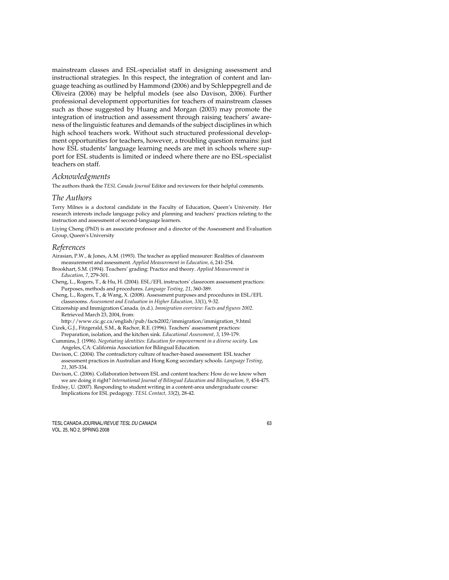mainstream classes and ESL-specialist staff in designing assessment and instructional strategies. In this respect, the integration of content and language teaching as outlined by Hammond (2006) and by Schleppegrell and de Oliveira (2006) may be helpful models (see also Davison, 2006). Further professional development opportunities for teachers of mainstream classes such as those suggested by Huang and Morgan (2003) may promote the integration of instruction and assessment through raising teachers' awareness of the linguistic features and demands of the subject disciplines in which high school teachers work. Without such structured professional development opportunities for teachers, however, a troubling question remains: just how ESL students' language learning needs are met in schools where support for ESL students is limited or indeed where there are no ESL-specialist teachers on staff.

#### *Acknowledgments*

The authors thank the *TESL Canada Journal* Editor and reviewers for their helpful comments.

#### *The Authors*

Terry Milnes is a doctoral candidate in the Faculty of Education, Queen's University. Her research interests include language policy and planning and teachers' practices relating to the instruction and assessment of second-language learners.

Liying Cheng (PhD) is an associate professor and a director of the Assessment and Evaluation Group, Queen's University

#### *References*

- Airasian, P.W., & Jones, A.M. (1993). The teacher as applied measurer: Realities of classroom measurement and assessment. *Applied Measurement in Education, 6*, 241-254.
- Brookhart, S.M. (1994). Teachers' grading: Practice and theory. *Applied Measurement in Education, 7*, 279-301.

Cheng, L., Rogers, T., & Hu, H. (2004). ESL/EFL instructors' classroom assessment practices: Purposes, methods and procedures. *Language Testing, 21*, 360-389.

Cheng, L., Rogers, T., & Wang, X. (2008). Assessment purposes and procedures in ESL/EFL classrooms. *Assessment and Evaluation in Higher Education, 33*(1), 9-32.

Citizenship and Immigration Canada. (n.d.). *Immigration overview: Facts and figures 2002*. Retrieved March 23, 2004, from:

http://www.cic.gc.ca/english/pub/facts2002/immigration/immigration\_9.html Cizek, G.J., Fitzgerald, S.M., & Rachor, R.E. (1996). Teachers' assessment practices:

Preparation, isolation, and the kitchen sink. *Educational Assessment, 3*, 159-179.

Cummins, J. (1996). *Negotiating identities: Education for empowerment in a diverse society*. Los Angeles, CA: California Association for Bilingual Education.

Davison, C. (2004). The contradictory culture of teacher-based assessment: ESL teacher assessment practices in Australian and Hong Kong secondary schools. *Language Testing, 21*, 305-334.

Davison, C. (2006). Collaboration between ESL and content teachers: How do we know when we are doing it right? *International Journal of Bilingual Education and Bilingualism, 9*, 454-475.

Erdösy, U. (2007). Responding to student writing in a content-area undergraduate course: Implications for ESL pedagogy. *TESL Contact, 33*(2), 28-42.

TESL CANADA JOURNAL/REVUE TESL DU CANADA 63 VOL. 25, NO 2, SPRING 2008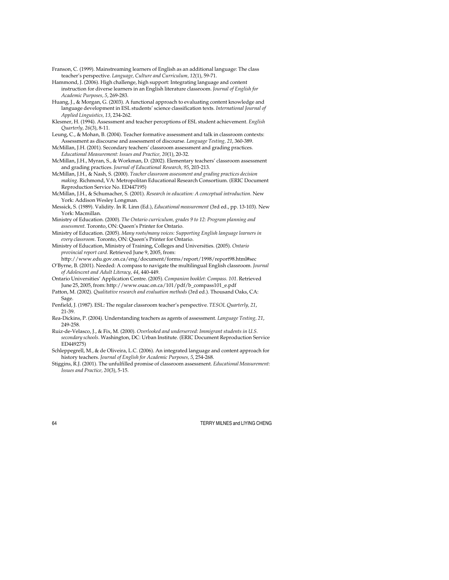- Franson, C. (1999). Mainstreaming learners of English as an additional language: The class teacher's perspective. *Language, Culture and Curriculum, 12*(1), 59-71.
- Hammond, J. (2006). High challenge, high support: Integrating language and content instruction for diverse learners in an English literature classroom. *Journal of English for Academic Purposes, 5*, 269-283.
- Huang, J., & Morgan, G. (2003). A functional approach to evaluating content knowledge and language development in ESL students' science classification texts. *International Journal of Applied Linguistics, 13*, 234-262.
- Klesmer, H. (1994). Assessment and teacher perceptions of ESL student achievement. *English Quarterly, 26*(3), 8-11.
- Leung, C., & Mohan, B. (2004). Teacher formative assessment and talk in classroom contexts: Assessment as discourse and assessment of discourse. *Language Testing, 21*, 360-389.
- McMillan, J.H. (2001). Secondary teachers' classroom assessment and grading practices. *Educational Measurement: Issues and Practice, 20*(1), 20-32.
- McMillan, J.H., Myran, S., & Workman, D. (2002). Elementary teachers' classroom assessment and grading practices. *Journal of Educational Research, 95*, 203-213.
- McMillan, J.H., & Nash, S. (2000). *Teacher classroom assessment and grading practices decision making*. Richmond, VA: Metropolitan Educational Research Consortium. (ERIC Document Reproduction Service No. ED447195)
- McMillan, J.H., & Schumacher, S. (2001). *Research in education: A conceptual introduction*. New York: Addison Wesley Longman.
- Messick, S. (1989). Validity. In R. Linn (Ed.), *Educational measurement* (3rd ed., pp. 13-103). New York: Macmillan.
- Ministry of Education. (2000). *The Ontario curriculum, grades 9 to 12: Program planning and assessment*. Toronto, ON: Queen's Printer for Ontario.
- Ministry of Education. (2005). *Many roots/many voices: Supporting English language learners in every classroom*. Toronto, ON: Queen's Printer for Ontario.
- Ministry of Education, Ministry of Training, Colleges and Universities. (2005). *Ontario provincial report card*. Retrieved June 9, 2005, from:
- http://www.edu.gov.on.ca/eng/document/forms/report/1998/report98.html#sec O'Byrne, B. (2001). Needed: A compass to navigate the multilingual English classroom. *Journal of Adolescent and Adult Literacy, 44*, 440-449.
- Ontario Universities' Application Centre. (2005). *Companion booklet: Compass. 101*. Retrieved June 25, 2005, from: http://www.ouac.on.ca/101/pdf/b\_compass101\_e.pdf
- Patton, M. (2002). *Qualitative research and evaluation methods* (3rd ed.). Thousand Oaks, CA: Sage.
- Penfield, J. (1987). ESL: The regular classroom teacher's perspective. *TESOL Quarterly, 21*, 21-39.
- Rea-Dickins, P. (2004). Understanding teachers as agents of assessment. *Language Testing, 21*, 249-258.
- Ruiz-de-Velasco, J., & Fix, M. (2000). *Overlooked and underserved: Immigrant students in U.S. secondary schools*. Washington, DC: Urban Institute. (ERIC Document Reproduction Service ED449275)
- Schleppegrell, M., & de Oliveira, L.C. (2006). An integrated language and content approach for history teachers. *Journal of English for Academic Purposes, 5*, 254-268.
- Stiggins, R.J. (2001). The unfulfilled promise of classroom assessment. *Educational Measurement: Issues and Practice, 20*(3), 5-15.